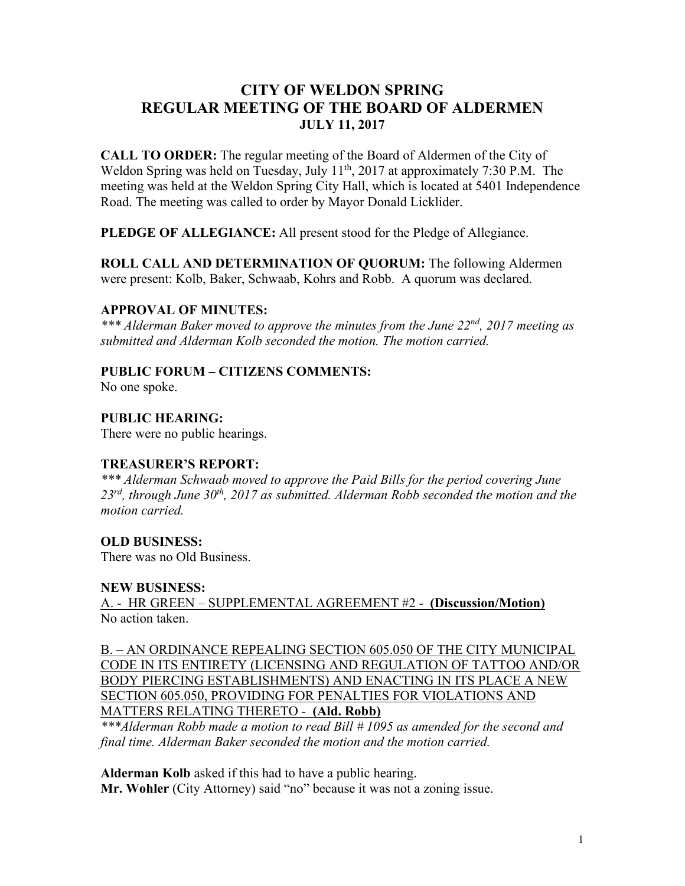# **CITY OF WELDON SPRING REGULAR MEETING OF THE BOARD OF ALDERMEN JULY 11, 2017**

**CALL TO ORDER:** The regular meeting of the Board of Aldermen of the City of Weldon Spring was held on Tuesday, July 11<sup>th</sup>, 2017 at approximately 7:30 P.M. The meeting was held at the Weldon Spring City Hall, which is located at 5401 Independence Road. The meeting was called to order by Mayor Donald Licklider.

**PLEDGE OF ALLEGIANCE:** All present stood for the Pledge of Allegiance.

**ROLL CALL AND DETERMINATION OF QUORUM:** The following Aldermen were present: Kolb, Baker, Schwaab, Kohrs and Robb. A quorum was declared.

## **APPROVAL OF MINUTES:**

*\*\*\* Alderman Baker moved to approve the minutes from the June 22nd, 2017 meeting as submitted and Alderman Kolb seconded the motion. The motion carried.*

## **PUBLIC FORUM – CITIZENS COMMENTS:**

No one spoke.

**PUBLIC HEARING:**

There were no public hearings.

### **TREASURER'S REPORT:**

*\*\*\* Alderman Schwaab moved to approve the Paid Bills for the period covering June 23rd, through June 30th, 2017 as submitted. Alderman Robb seconded the motion and the motion carried.*

### **OLD BUSINESS:**

There was no Old Business.

### **NEW BUSINESS:**

A. - HR GREEN – SUPPLEMENTAL AGREEMENT #2 - **(Discussion/Motion)** No action taken.

B. – AN ORDINANCE REPEALING SECTION 605.050 OF THE CITY MUNICIPAL CODE IN ITS ENTIRETY (LICENSING AND REGULATION OF TATTOO AND/OR BODY PIERCING ESTABLISHMENTS) AND ENACTING IN ITS PLACE A NEW SECTION 605.050, PROVIDING FOR PENALTIES FOR VIOLATIONS AND MATTERS RELATING THERETO - **(Ald. Robb)**

*\*\*\*Alderman Robb made a motion to read Bill # 1095 as amended for the second and final time. Alderman Baker seconded the motion and the motion carried.*

**Alderman Kolb** asked if this had to have a public hearing. **Mr. Wohler** (City Attorney) said "no" because it was not a zoning issue.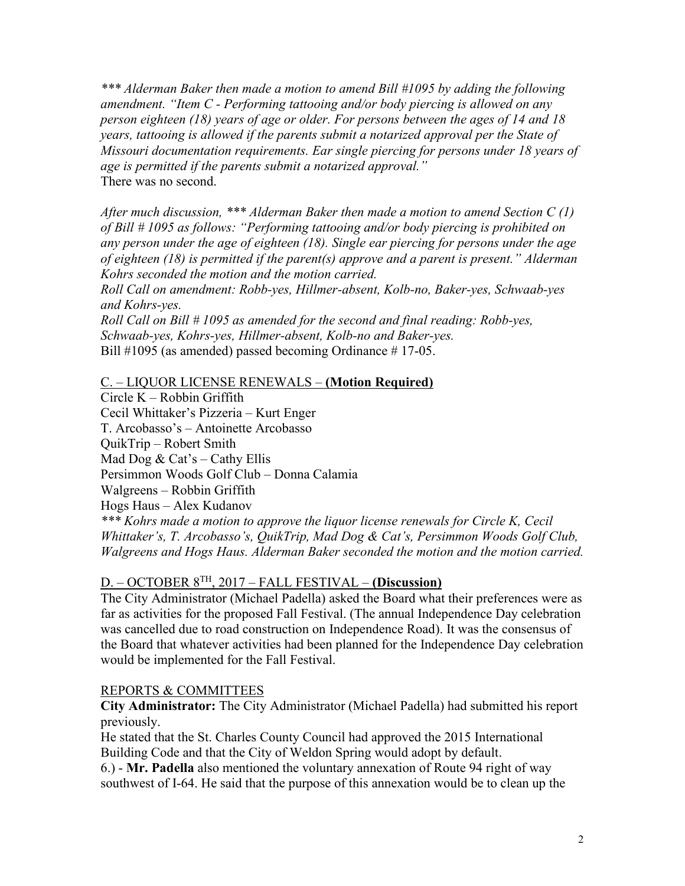*\*\*\* Alderman Baker then made a motion to amend Bill #1095 by adding the following amendment. "Item C - Performing tattooing and/or body piercing is allowed on any person eighteen (18) years of age or older. For persons between the ages of 14 and 18 years, tattooing is allowed if the parents submit a notarized approval per the State of Missouri documentation requirements. Ear single piercing for persons under 18 years of age is permitted if the parents submit a notarized approval."* There was no second.

*After much discussion, \*\*\* Alderman Baker then made a motion to amend Section C (1) of Bill # 1095 as follows: "Performing tattooing and/or body piercing is prohibited on any person under the age of eighteen (18). Single ear piercing for persons under the age of eighteen (18) is permitted if the parent(s) approve and a parent is present." Alderman Kohrs seconded the motion and the motion carried.*

*Roll Call on amendment: Robb-yes, Hillmer-absent, Kolb-no, Baker-yes, Schwaab-yes and Kohrs-yes.*

*Roll Call on Bill # 1095 as amended for the second and final reading: Robb-yes, Schwaab-yes, Kohrs-yes, Hillmer-absent, Kolb-no and Baker-yes.* Bill #1095 (as amended) passed becoming Ordinance #17-05.

## C. – LIQUOR LICENSE RENEWALS – **(Motion Required)**

Circle K – Robbin Griffith Cecil Whittaker's Pizzeria – Kurt Enger T. Arcobasso's – Antoinette Arcobasso QuikTrip – Robert Smith Mad Dog  $& Cat's - Catby Ellis$ Persimmon Woods Golf Club – Donna Calamia Walgreens – Robbin Griffith Hogs Haus – Alex Kudanov *\*\*\* Kohrs made a motion to approve the liquor license renewals for Circle K, Cecil Whittaker's, T. Arcobasso's, QuikTrip, Mad Dog & Cat's, Persimmon Woods Golf Club, Walgreens and Hogs Haus. Alderman Baker seconded the motion and the motion carried.*

# D. – OCTOBER 8TH, 2017 – FALL FESTIVAL – **(Discussion)**

The City Administrator (Michael Padella) asked the Board what their preferences were as far as activities for the proposed Fall Festival. (The annual Independence Day celebration was cancelled due to road construction on Independence Road). It was the consensus of the Board that whatever activities had been planned for the Independence Day celebration would be implemented for the Fall Festival.

### REPORTS & COMMITTEES

**City Administrator:** The City Administrator (Michael Padella) had submitted his report previously.

He stated that the St. Charles County Council had approved the 2015 International Building Code and that the City of Weldon Spring would adopt by default.

6.) - **Mr. Padella** also mentioned the voluntary annexation of Route 94 right of way southwest of I-64. He said that the purpose of this annexation would be to clean up the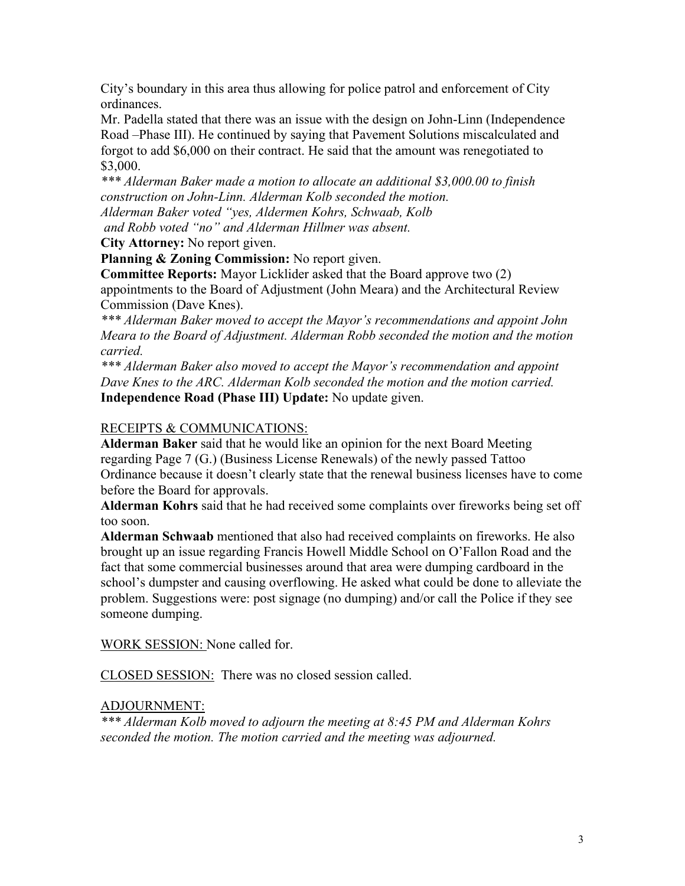City's boundary in this area thus allowing for police patrol and enforcement of City ordinances.

Mr. Padella stated that there was an issue with the design on John-Linn (Independence Road –Phase III). He continued by saying that Pavement Solutions miscalculated and forgot to add \$6,000 on their contract. He said that the amount was renegotiated to \$3,000.

*\*\*\* Alderman Baker made a motion to allocate an additional \$3,000.00 to finish construction on John-Linn. Alderman Kolb seconded the motion. Alderman Baker voted "yes, Aldermen Kohrs, Schwaab, Kolb and Robb voted "no" and Alderman Hillmer was absent.*

**City Attorney:** No report given.

**Planning & Zoning Commission:** No report given.

**Committee Reports:** Mayor Licklider asked that the Board approve two (2) appointments to the Board of Adjustment (John Meara) and the Architectural Review Commission (Dave Knes).

*\*\*\* Alderman Baker moved to accept the Mayor's recommendations and appoint John Meara to the Board of Adjustment. Alderman Robb seconded the motion and the motion carried.*

*\*\*\* Alderman Baker also moved to accept the Mayor's recommendation and appoint Dave Knes to the ARC. Alderman Kolb seconded the motion and the motion carried.* **Independence Road (Phase III) Update:** No update given.

# RECEIPTS & COMMUNICATIONS:

**Alderman Baker** said that he would like an opinion for the next Board Meeting regarding Page 7 (G.) (Business License Renewals) of the newly passed Tattoo Ordinance because it doesn't clearly state that the renewal business licenses have to come before the Board for approvals.

**Alderman Kohrs** said that he had received some complaints over fireworks being set off too soon.

**Alderman Schwaab** mentioned that also had received complaints on fireworks. He also brought up an issue regarding Francis Howell Middle School on O'Fallon Road and the fact that some commercial businesses around that area were dumping cardboard in the school's dumpster and causing overflowing. He asked what could be done to alleviate the problem. Suggestions were: post signage (no dumping) and/or call the Police if they see someone dumping.

WORK SESSION: None called for.

CLOSED SESSION: There was no closed session called.

# ADJOURNMENT:

*\*\*\* Alderman Kolb moved to adjourn the meeting at 8:45 PM and Alderman Kohrs seconded the motion. The motion carried and the meeting was adjourned.*